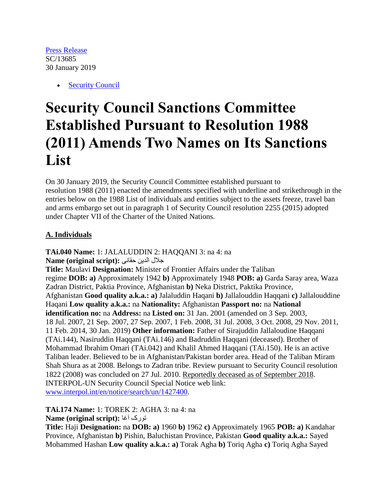[Press Release](https://www.un.org/press/en/type-document/press-release) SC/13685 30 January 2019

• [Security Council](https://www.un.org/press/en/un-bodies/security-council)

## **Security Council Sanctions Committee Established Pursuant to Resolution 1988 (2011) Amends Two Names on Its Sanctions List**

On 30 January 2019, the Security Council Committee established pursuant to resolution 1988 (2011) enacted the amendments specified with underline and strikethrough in the entries below on the 1988 List of individuals and entities subject to the assets freeze, travel ban and arms embargo set out in paragraph 1 of Security Council resolution 2255 (2015) adopted under Chapter VII of the Charter of the United Nations.

## **A. Individuals**

**TAi.040 Name:** 1: JALALUDDIN 2: HAQQANI 3: na 4: na جالل الدين حقانى **:(script original (Name Title:** Maulavi **Designation:** Minister of Frontier Affairs under the Taliban regime **DOB: a)** Approximately 1942 **b)** Approximately 1948 **POB: a)** Garda Saray area, Waza Zadran District, Paktia Province, Afghanistan **b)** Neka District, Paktika Province, Afghanistan **Good quality a.k.a.: a)** Jalaluddin Haqani **b)** Jallalouddin Haqqani **c)** Jallalouddine Haqani **Low quality a.k.a.:** na **Nationality:** Afghanistan **Passport no:** na **National identification no:** na **Address:** na **Listed on:** 31 Jan. 2001 (amended on 3 Sep. 2003, 18 Jul. 2007, 21 Sep. 2007, 27 Sep. 2007, 1 Feb. 2008, 31 Jul. 2008, 3 Oct. 2008, 29 Nov. 2011, 11 Feb. 2014, 30 Jan. 2019) **Other information:** Father of Sirajuddin Jallaloudine Haqqani (TAi.144), Nasiruddin Haqqani (TAi.146) and Badruddin Haqqani (deceased). Brother of Mohammad Ibrahim Omari (TAi.042) and Khalil Ahmed Haqqani (TAi.150). He is an active Taliban leader. Believed to be in Afghanistan/Pakistan border area. Head of the Taliban Miram Shah Shura as at 2008. Belongs to Zadran tribe. Review pursuant to Security Council resolution 1822 (2008) was concluded on 27 Jul. 2010. Reportedly deceased as of September 2018. INTERPOL-UN Security Council Special Notice web link: [www.interpol.int/en/notice/search/un/1427400.](http://www.interpol.int/en/notice/search/un/1427400)

**TAi.174 Name:** 1: TOREK 2: AGHA 3: na 4: na

**Name (original script):** آغا تورک

**Title:** Haji **Designation:** na **DOB: a)** 1960 **b)** 1962 **c)** Approximately 1965 **POB: a)** Kandahar Province, Afghanistan **b)** Pishin, Baluchistan Province, Pakistan **Good quality a.k.a.:** Sayed Mohammed Hashan **Low quality a.k.a.: a)** Torak Agha **b)** Toriq Agha **c)** Toriq Agha Sayed